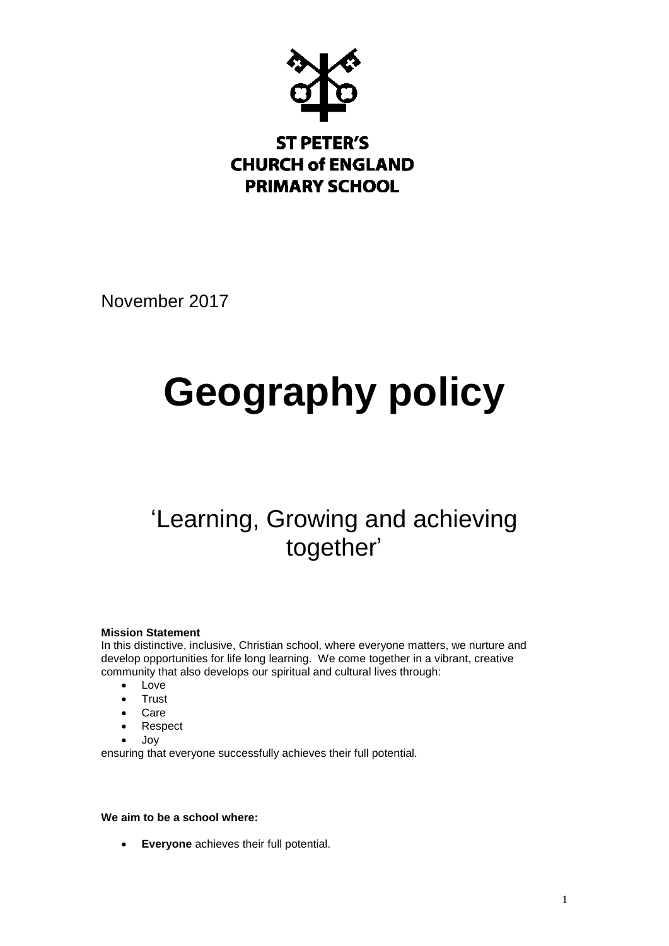

# **ST PETER'S CHURCH of ENGLAND PRIMARY SCHOOL**

November 2017

# **Geography policy**

# 'Learning, Growing and achieving together'

# **Mission Statement**

In this distinctive, inclusive, Christian school, where everyone matters, we nurture and develop opportunities for life long learning. We come together in a vibrant, creative community that also develops our spiritual and cultural lives through:

- Love
- Trust
- Care
- Respect
- Joy

ensuring that everyone successfully achieves their full potential.

# **We aim to be a school where:**

**Everyone** achieves their full potential.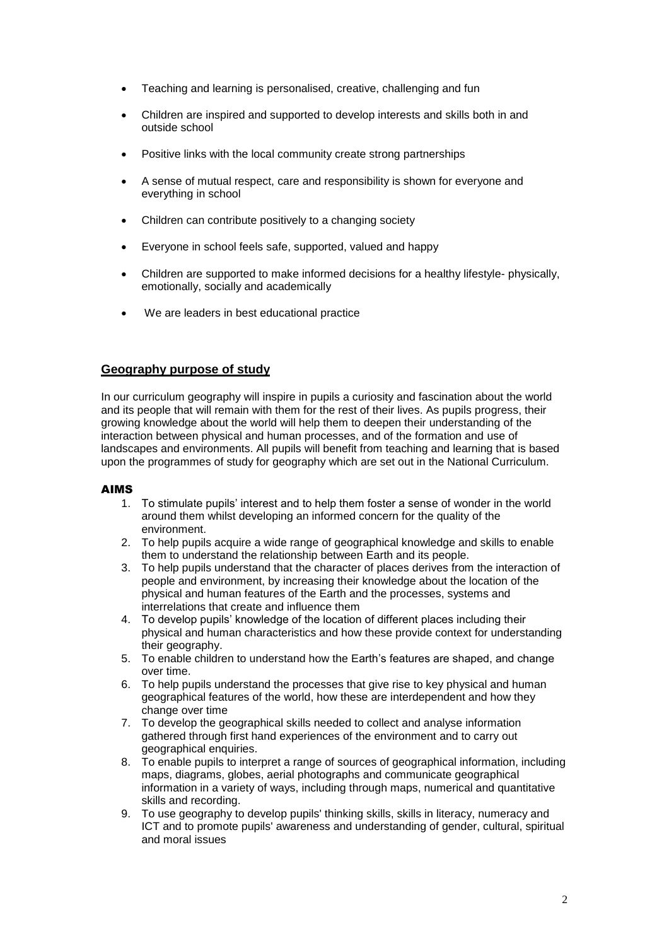- Teaching and learning is personalised, creative, challenging and fun
- Children are inspired and supported to develop interests and skills both in and outside school
- Positive links with the local community create strong partnerships
- A sense of mutual respect, care and responsibility is shown for everyone and everything in school
- Children can contribute positively to a changing society
- Everyone in school feels safe, supported, valued and happy
- Children are supported to make informed decisions for a healthy lifestyle- physically, emotionally, socially and academically
- We are leaders in best educational practice

# **Geography purpose of study**

In our curriculum geography will inspire in pupils a curiosity and fascination about the world and its people that will remain with them for the rest of their lives. As pupils progress, their growing knowledge about the world will help them to deepen their understanding of the interaction between physical and human processes, and of the formation and use of landscapes and environments. All pupils will benefit from teaching and learning that is based upon the programmes of study for geography which are set out in the National Curriculum.

# AIMS

- 1. To stimulate pupils' interest and to help them foster a sense of wonder in the world around them whilst developing an informed concern for the quality of the environment.
- 2. To help pupils acquire a wide range of geographical knowledge and skills to enable them to understand the relationship between Earth and its people.
- 3. To help pupils understand that the character of places derives from the interaction of people and environment, by increasing their knowledge about the location of the physical and human features of the Earth and the processes, systems and interrelations that create and influence them
- 4. To develop pupils' knowledge of the location of different places including their physical and human characteristics and how these provide context for understanding their geography.
- 5. To enable children to understand how the Earth's features are shaped, and change over time.
- 6. To help pupils understand the processes that give rise to key physical and human geographical features of the world, how these are interdependent and how they change over time
- 7. To develop the geographical skills needed to collect and analyse information gathered through first hand experiences of the environment and to carry out geographical enquiries.
- 8. To enable pupils to interpret a range of sources of geographical information, including maps, diagrams, globes, aerial photographs and communicate geographical information in a variety of ways, including through maps, numerical and quantitative skills and recording.
- 9. To use geography to develop pupils' thinking skills, skills in literacy, numeracy and ICT and to promote pupils' awareness and understanding of gender, cultural, spiritual and moral issues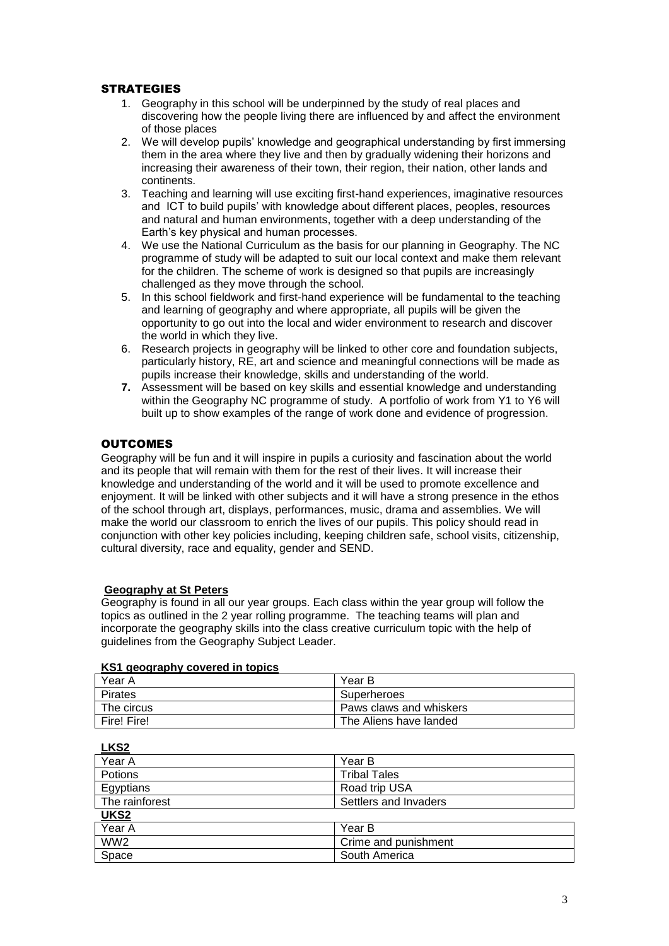# **STRATEGIES**

- 1. Geography in this school will be underpinned by the study of real places and discovering how the people living there are influenced by and affect the environment of those places
- 2. We will develop pupils' knowledge and geographical understanding by first immersing them in the area where they live and then by gradually widening their horizons and increasing their awareness of their town, their region, their nation, other lands and continents.
- 3. Teaching and learning will use exciting first-hand experiences, imaginative resources and ICT to build pupils' with knowledge about different places, peoples, resources and natural and human environments, together with a deep understanding of the Earth's key physical and human processes.
- 4. We use the National Curriculum as the basis for our planning in Geography. The NC programme of study will be adapted to suit our local context and make them relevant for the children. The scheme of work is designed so that pupils are increasingly challenged as they move through the school.
- 5. In this school fieldwork and first-hand experience will be fundamental to the teaching and learning of geography and where appropriate, all pupils will be given the opportunity to go out into the local and wider environment to research and discover the world in which they live.
- 6. Research projects in geography will be linked to other core and foundation subjects, particularly history, RE, art and science and meaningful connections will be made as pupils increase their knowledge, skills and understanding of the world.
- **7.** Assessment will be based on key skills and essential knowledge and understanding within the Geography NC programme of study. A portfolio of work from Y1 to Y6 will built up to show examples of the range of work done and evidence of progression.

# **OUTCOMES**

Geography will be fun and it will inspire in pupils a curiosity and fascination about the world and its people that will remain with them for the rest of their lives. It will increase their knowledge and understanding of the world and it will be used to promote excellence and enjoyment. It will be linked with other subjects and it will have a strong presence in the ethos of the school through art, displays, performances, music, drama and assemblies. We will make the world our classroom to enrich the lives of our pupils. This policy should read in conjunction with other key policies including, keeping children safe, school visits, citizenship, cultural diversity, race and equality, gender and SEND.

# **Geography at St Peters**

Geography is found in all our year groups. Each class within the year group will follow the topics as outlined in the 2 year rolling programme. The teaching teams will plan and incorporate the geography skills into the class creative curriculum topic with the help of guidelines from the Geography Subject Leader.

| <b>NST geography covered in topics</b> |                         |  |
|----------------------------------------|-------------------------|--|
| Year A                                 | Year B                  |  |
| Pirates                                | Superheroes             |  |
| The circus                             | Paws claws and whiskers |  |
| Fire! Fire!                            | The Aliens have landed  |  |

# **KS1 geography covered in topics**

| Year A          | Year B                |  |  |
|-----------------|-----------------------|--|--|
| Potions         | <b>Tribal Tales</b>   |  |  |
| Egyptians       | Road trip USA         |  |  |
| The rainforest  | Settlers and Invaders |  |  |
| UKS2            |                       |  |  |
| Year A          | Year B                |  |  |
| WW <sub>2</sub> | Crime and punishment  |  |  |
| Space           | South America         |  |  |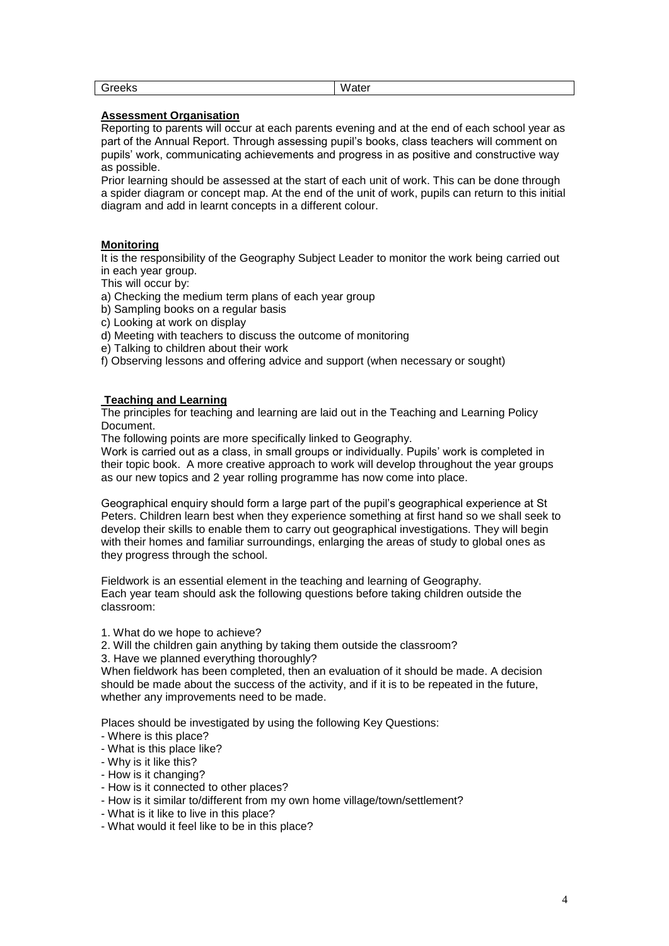| $\sim$<br>Greeks<br>ີ | Water |
|-----------------------|-------|

# **Assessment Organisation**

Reporting to parents will occur at each parents evening and at the end of each school year as part of the Annual Report. Through assessing pupil's books, class teachers will comment on pupils' work, communicating achievements and progress in as positive and constructive way as possible.

Prior learning should be assessed at the start of each unit of work. This can be done through a spider diagram or concept map. At the end of the unit of work, pupils can return to this initial diagram and add in learnt concepts in a different colour.

# **Monitoring**

It is the responsibility of the Geography Subject Leader to monitor the work being carried out in each year group.

This will occur by:

- a) Checking the medium term plans of each year group
- b) Sampling books on a regular basis
- c) Looking at work on display
- d) Meeting with teachers to discuss the outcome of monitoring
- e) Talking to children about their work
- f) Observing lessons and offering advice and support (when necessary or sought)

### **Teaching and Learning**

The principles for teaching and learning are laid out in the Teaching and Learning Policy Document.

The following points are more specifically linked to Geography.

Work is carried out as a class, in small groups or individually. Pupils' work is completed in their topic book. A more creative approach to work will develop throughout the year groups as our new topics and 2 year rolling programme has now come into place.

Geographical enquiry should form a large part of the pupil's geographical experience at St Peters. Children learn best when they experience something at first hand so we shall seek to develop their skills to enable them to carry out geographical investigations. They will begin with their homes and familiar surroundings, enlarging the areas of study to global ones as they progress through the school.

Fieldwork is an essential element in the teaching and learning of Geography. Each year team should ask the following questions before taking children outside the classroom:

1. What do we hope to achieve?

2. Will the children gain anything by taking them outside the classroom?

3. Have we planned everything thoroughly?

When fieldwork has been completed, then an evaluation of it should be made. A decision should be made about the success of the activity, and if it is to be repeated in the future, whether any improvements need to be made.

Places should be investigated by using the following Key Questions:

- Where is this place?
- What is this place like?
- Why is it like this?
- How is it changing?
- How is it connected to other places?
- How is it similar to/different from my own home village/town/settlement?
- What is it like to live in this place?
- What would it feel like to be in this place?